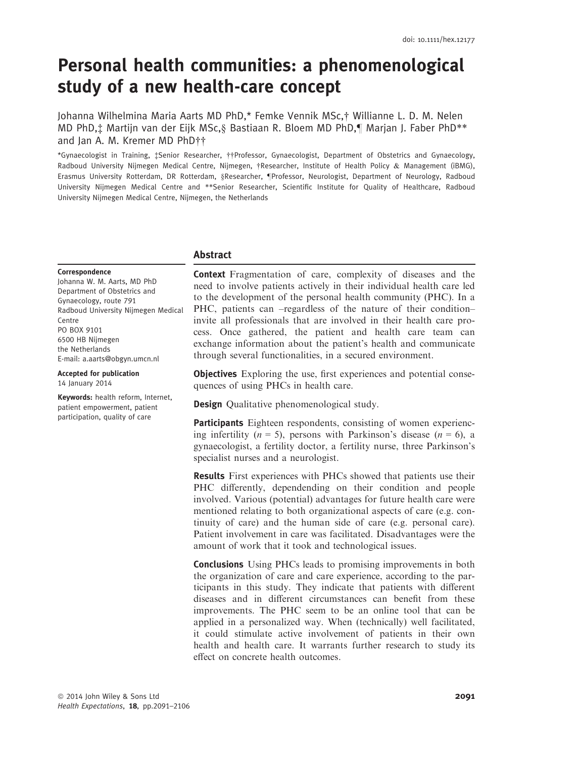# Personal health communities: a phenomenological study of a new health-care concept

Johanna Wilhelmina Maria Aarts MD PhD,\* Femke Vennik MSc,† Willianne L. D. M. Nelen MD PhD, <sup>†</sup> Martijn van der Eijk MSc, § Bastiaan R. Bloem MD PhD, ¶ Marjan J. Faber PhD<sup>\*\*</sup> and Jan A. M. Kremer MD PhD††

\*Gynaecologist in Training, ‡Senior Researcher, ††Professor, Gynaecologist, Department of Obstetrics and Gynaecology, Radboud University Nijmegen Medical Centre, Nijmegen, †Researcher, Institute of Health Policy & Management (iBMG), Erasmus University Rotterdam, DR Rotterdam, §Researcher, ¶Professor, Neurologist, Department of Neurology, Radboud University Nijmegen Medical Centre and \*\*Senior Researcher, Scientific Institute for Quality of Healthcare, Radboud University Nijmegen Medical Centre, Nijmegen, the Netherlands

#### Abstract

#### Correspondence

Johanna W. M. Aarts, MD PhD Department of Obstetrics and Gynaecology, route 791 Radboud University Nijmegen Medical Centre PO BOX 9101 6500 HB Nijmegen the Netherlands E-mail: a.aarts@obgyn.umcn.nl

Accepted for publication 14 January 2014

Keywords: health reform, Internet, patient empowerment, patient participation, quality of care

Context Fragmentation of care, complexity of diseases and the need to involve patients actively in their individual health care led to the development of the personal health community (PHC). In a PHC, patients can –regardless of the nature of their condition– invite all professionals that are involved in their health care process. Once gathered, the patient and health care team can exchange information about the patient's health and communicate through several functionalities, in a secured environment.

**Objectives** Exploring the use, first experiences and potential consequences of using PHCs in health care.

**Design** Qualitative phenomenological study.

Participants Eighteen respondents, consisting of women experiencing infertility ( $n = 5$ ), persons with Parkinson's disease ( $n = 6$ ), a gynaecologist, a fertility doctor, a fertility nurse, three Parkinson's specialist nurses and a neurologist.

Results First experiences with PHCs showed that patients use their PHC differently, dependending on their condition and people involved. Various (potential) advantages for future health care were mentioned relating to both organizational aspects of care (e.g. continuity of care) and the human side of care (e.g. personal care). Patient involvement in care was facilitated. Disadvantages were the amount of work that it took and technological issues.

**Conclusions** Using PHCs leads to promising improvements in both the organization of care and care experience, according to the participants in this study. They indicate that patients with different diseases and in different circumstances can benefit from these improvements. The PHC seem to be an online tool that can be applied in a personalized way. When (technically) well facilitated, it could stimulate active involvement of patients in their own health and health care. It warrants further research to study its effect on concrete health outcomes.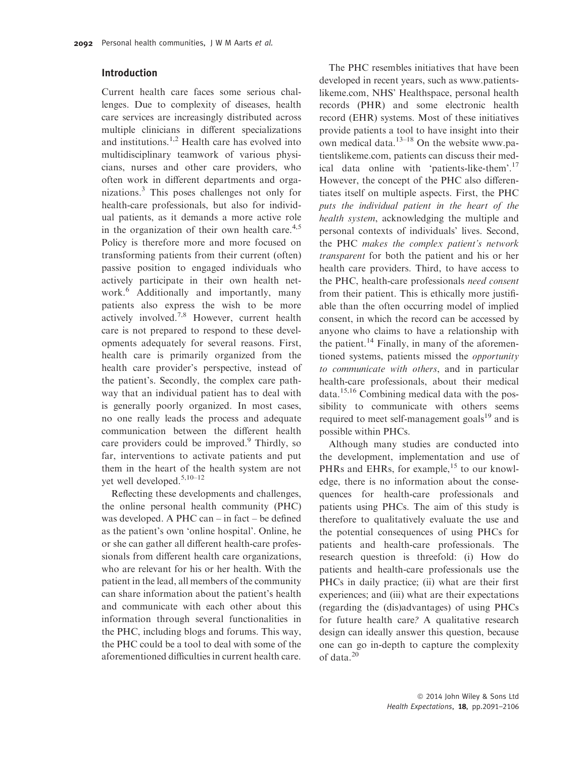#### Introduction

Current health care faces some serious challenges. Due to complexity of diseases, health care services are increasingly distributed across multiple clinicians in different specializations and institutions.<sup>1,2</sup> Health care has evolved into multidisciplinary teamwork of various physicians, nurses and other care providers, who often work in different departments and organizations.<sup>3</sup> This poses challenges not only for health-care professionals, but also for individual patients, as it demands a more active role in the organization of their own health care. $4.5$ Policy is therefore more and more focused on transforming patients from their current (often) passive position to engaged individuals who actively participate in their own health network.<sup>6</sup> Additionally and importantly, many patients also express the wish to be more actively involved.7,8 However, current health care is not prepared to respond to these developments adequately for several reasons. First, health care is primarily organized from the health care provider's perspective, instead of the patient's. Secondly, the complex care pathway that an individual patient has to deal with is generally poorly organized. In most cases, no one really leads the process and adequate communication between the different health care providers could be improved.<sup>9</sup> Thirdly, so far, interventions to activate patients and put them in the heart of the health system are not yet well developed.<sup>5,10–12</sup>

Reflecting these developments and challenges, the online personal health community (PHC) was developed. A PHC can – in fact – be defined as the patient's own 'online hospital'. Online, he or she can gather all different health-care professionals from different health care organizations, who are relevant for his or her health. With the patient in the lead, all members of the community can share information about the patient's health and communicate with each other about this information through several functionalities in the PHC, including blogs and forums. This way, the PHC could be a tool to deal with some of the aforementioned difficulties in current health care.

The PHC resembles initiatives that have been developed in recent years, such as www.patientslikeme.com, NHS' Healthspace, personal health records (PHR) and some electronic health record (EHR) systems. Most of these initiatives provide patients a tool to have insight into their own medical data. $13-18$  On the website www.patientslikeme.com, patients can discuss their medical data online with 'patients-like-them'.<sup>17</sup> However, the concept of the PHC also differentiates itself on multiple aspects. First, the PHC puts the individual patient in the heart of the health system, acknowledging the multiple and personal contexts of individuals' lives. Second, the PHC makes the complex patient's network transparent for both the patient and his or her health care providers. Third, to have access to the PHC, health-care professionals need consent from their patient. This is ethically more justifiable than the often occurring model of implied consent, in which the record can be accessed by anyone who claims to have a relationship with the patient.<sup>14</sup> Finally, in many of the aforementioned systems, patients missed the opportunity to communicate with others, and in particular health-care professionals, about their medical data.15,16 Combining medical data with the possibility to communicate with others seems required to meet self-management goals $19$  and is possible within PHCs.

Although many studies are conducted into the development, implementation and use of PHRs and EHRs, for example,<sup>15</sup> to our knowledge, there is no information about the consequences for health-care professionals and patients using PHCs. The aim of this study is therefore to qualitatively evaluate the use and the potential consequences of using PHCs for patients and health-care professionals. The research question is threefold: (i) How do patients and health-care professionals use the PHCs in daily practice; (ii) what are their first experiences; and (iii) what are their expectations (regarding the (dis)advantages) of using PHCs for future health care? A qualitative research design can ideally answer this question, because one can go in-depth to capture the complexity of data.<sup>20</sup>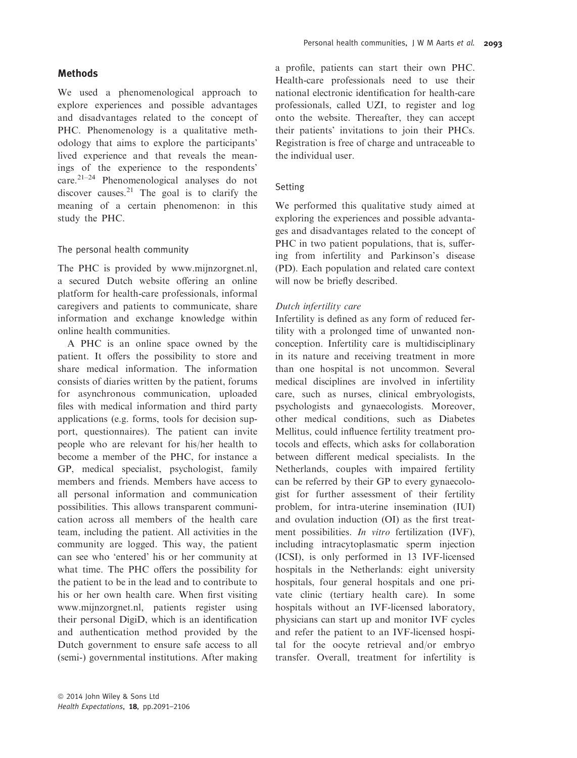## Methods

We used a phenomenological approach to explore experiences and possible advantages and disadvantages related to the concept of PHC. Phenomenology is a qualitative methodology that aims to explore the participants' lived experience and that reveals the meanings of the experience to the respondents' care.21–<sup>24</sup> Phenomenological analyses do not discover causes.<sup>21</sup> The goal is to clarify the meaning of a certain phenomenon: in this study the PHC.

## The personal health community

The PHC is provided by www.mijnzorgnet.nl, a secured Dutch website offering an online platform for health-care professionals, informal caregivers and patients to communicate, share information and exchange knowledge within online health communities.

A PHC is an online space owned by the patient. It offers the possibility to store and share medical information. The information consists of diaries written by the patient, forums for asynchronous communication, uploaded files with medical information and third party applications (e.g. forms, tools for decision support, questionnaires). The patient can invite people who are relevant for his/her health to become a member of the PHC, for instance a GP, medical specialist, psychologist, family members and friends. Members have access to all personal information and communication possibilities. This allows transparent communication across all members of the health care team, including the patient. All activities in the community are logged. This way, the patient can see who 'entered' his or her community at what time. The PHC offers the possibility for the patient to be in the lead and to contribute to his or her own health care. When first visiting www.mijnzorgnet.nl, patients register using their personal DigiD, which is an identification and authentication method provided by the Dutch government to ensure safe access to all (semi-) governmental institutions. After making a profile, patients can start their own PHC. Health-care professionals need to use their national electronic identification for health-care professionals, called UZI, to register and log onto the website. Thereafter, they can accept their patients' invitations to join their PHCs. Registration is free of charge and untraceable to the individual user.

## Setting

We performed this qualitative study aimed at exploring the experiences and possible advantages and disadvantages related to the concept of PHC in two patient populations, that is, suffering from infertility and Parkinson's disease (PD). Each population and related care context will now be briefly described.

## Dutch infertility care

Infertility is defined as any form of reduced fertility with a prolonged time of unwanted nonconception. Infertility care is multidisciplinary in its nature and receiving treatment in more than one hospital is not uncommon. Several medical disciplines are involved in infertility care, such as nurses, clinical embryologists, psychologists and gynaecologists. Moreover, other medical conditions, such as Diabetes Mellitus, could influence fertility treatment protocols and effects, which asks for collaboration between different medical specialists. In the Netherlands, couples with impaired fertility can be referred by their GP to every gynaecologist for further assessment of their fertility problem, for intra-uterine insemination (IUI) and ovulation induction (OI) as the first treatment possibilities. *In vitro* fertilization (IVF), including intracytoplasmatic sperm injection (ICSI), is only performed in 13 IVF-licensed hospitals in the Netherlands: eight university hospitals, four general hospitals and one private clinic (tertiary health care). In some hospitals without an IVF-licensed laboratory, physicians can start up and monitor IVF cycles and refer the patient to an IVF-licensed hospital for the oocyte retrieval and/or embryo transfer. Overall, treatment for infertility is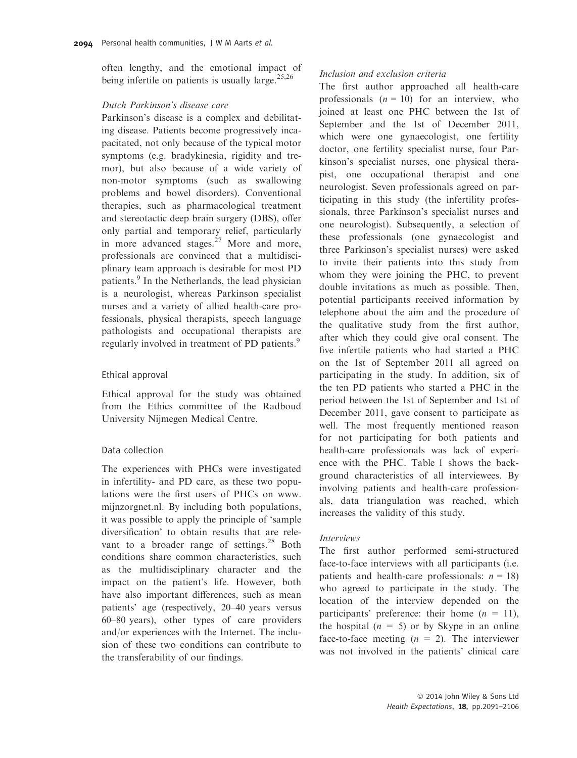often lengthy, and the emotional impact of being infertile on patients is usually large. $25,26$ 

#### Dutch Parkinson's disease care

Parkinson's disease is a complex and debilitating disease. Patients become progressively incapacitated, not only because of the typical motor symptoms (e.g. bradykinesia, rigidity and tremor), but also because of a wide variety of non-motor symptoms (such as swallowing problems and bowel disorders). Conventional therapies, such as pharmacological treatment and stereotactic deep brain surgery (DBS), offer only partial and temporary relief, particularly in more advanced stages. $27$  More and more, professionals are convinced that a multidisciplinary team approach is desirable for most PD patients.<sup>9</sup> In the Netherlands, the lead physician is a neurologist, whereas Parkinson specialist nurses and a variety of allied health-care professionals, physical therapists, speech language pathologists and occupational therapists are regularly involved in treatment of PD patients.<sup>9</sup>

#### Ethical approval

Ethical approval for the study was obtained from the Ethics committee of the Radboud University Nijmegen Medical Centre.

#### Data collection

The experiences with PHCs were investigated in infertility- and PD care, as these two populations were the first users of PHCs on www. mijnzorgnet.nl. By including both populations, it was possible to apply the principle of 'sample diversification' to obtain results that are relevant to a broader range of settings.<sup>28</sup> Both conditions share common characteristics, such as the multidisciplinary character and the impact on the patient's life. However, both have also important differences, such as mean patients' age (respectively, 20–40 years versus 60–80 years), other types of care providers and/or experiences with the Internet. The inclusion of these two conditions can contribute to the transferability of our findings.

#### Inclusion and exclusion criteria

The first author approached all health-care professionals  $(n = 10)$  for an interview, who joined at least one PHC between the 1st of September and the 1st of December 2011, which were one gynaecologist, one fertility doctor, one fertility specialist nurse, four Parkinson's specialist nurses, one physical therapist, one occupational therapist and one neurologist. Seven professionals agreed on participating in this study (the infertility professionals, three Parkinson's specialist nurses and one neurologist). Subsequently, a selection of these professionals (one gynaecologist and three Parkinson's specialist nurses) were asked to invite their patients into this study from whom they were joining the PHC, to prevent double invitations as much as possible. Then, potential participants received information by telephone about the aim and the procedure of the qualitative study from the first author, after which they could give oral consent. The five infertile patients who had started a PHC on the 1st of September 2011 all agreed on participating in the study. In addition, six of the ten PD patients who started a PHC in the period between the 1st of September and 1st of December 2011, gave consent to participate as well. The most frequently mentioned reason for not participating for both patients and health-care professionals was lack of experience with the PHC. Table 1 shows the background characteristics of all interviewees. By involving patients and health-care professionals, data triangulation was reached, which increases the validity of this study.

#### Interviews

The first author performed semi-structured face-to-face interviews with all participants (i.e. patients and health-care professionals:  $n = 18$ ) who agreed to participate in the study. The location of the interview depended on the participants' preference: their home  $(n = 11)$ , the hospital  $(n = 5)$  or by Skype in an online face-to-face meeting  $(n = 2)$ . The interviewer was not involved in the patients' clinical care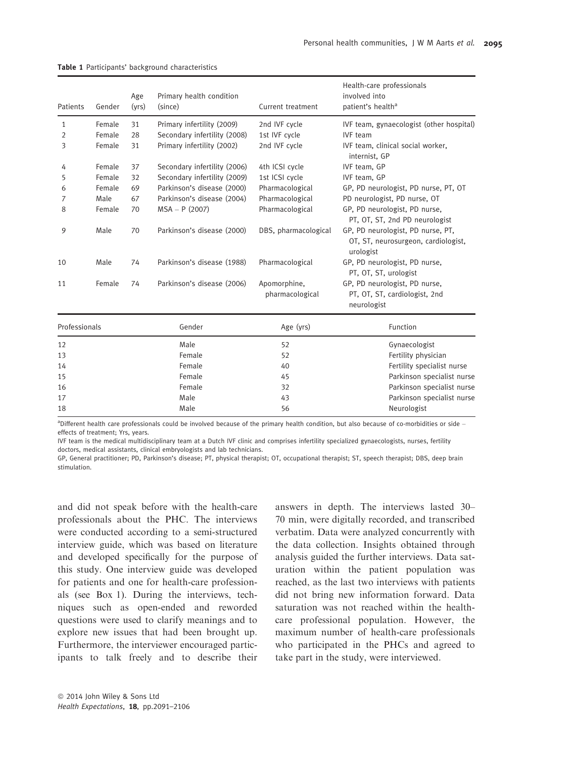| Patients      | Gender | Age<br>(vrs) | Primary health condition<br>(since) | Current treatment               | Health-care professionals<br>involved into<br>patient's health <sup>a</sup>                                                                              |  |
|---------------|--------|--------------|-------------------------------------|---------------------------------|----------------------------------------------------------------------------------------------------------------------------------------------------------|--|
| $\mathbf{1}$  | Female | 31           | Primary infertility (2009)          | 2nd IVF cycle                   | IVF team, gynaecologist (other hospital)                                                                                                                 |  |
| 2             | Female | 28           | Secondary infertility (2008)        | 1st IVF cycle                   | <b>IVF</b> team                                                                                                                                          |  |
| 3             | Female | 31           | Primary infertility (2002)          | 2nd IVF cycle                   | IVF team, clinical social worker,<br>internist, GP                                                                                                       |  |
| 4             | Female | 37           | Secondary infertility (2006)        | 4th ICSI cycle                  | IVF team, GP                                                                                                                                             |  |
| 5             | Female | 32           | Secondary infertility (2009)        | 1st ICSI cycle                  | IVF team, GP                                                                                                                                             |  |
| 6             | Female | 69           | Parkinson's disease (2000)          | Pharmacological                 | GP, PD neurologist, PD nurse, PT, OT                                                                                                                     |  |
| 7             | Male   | 67           | Parkinson's disease (2004)          | Pharmacological                 | PD neurologist, PD nurse, OT                                                                                                                             |  |
| 8             | Female | 70           | $MSA - P (2007)$                    | Pharmacological                 | GP, PD neurologist, PD nurse,<br>PT, OT, ST, 2nd PD neurologist<br>GP, PD neurologist, PD nurse, PT,<br>OT, ST, neurosurgeon, cardiologist,<br>urologist |  |
| 9             | Male   | 70           | Parkinson's disease (2000)          | DBS, pharmacological            |                                                                                                                                                          |  |
| 10            | Male   | 74           | Parkinson's disease (1988)          | Pharmacological                 | GP, PD neurologist, PD nurse,<br>PT, OT, ST, urologist                                                                                                   |  |
| 11            | Female | 74           | Parkinson's disease (2006)          | Apomorphine,<br>pharmacological | GP, PD neurologist, PD nurse,<br>PT, OT, ST, cardiologist, 2nd<br>neurologist                                                                            |  |
| Professionals |        |              | Gender                              | Age (yrs)                       | Function                                                                                                                                                 |  |
| 12            |        |              | Male                                | 52                              | Gynaecologist                                                                                                                                            |  |
| 13            |        |              | Female                              | 52                              | Fertility physician                                                                                                                                      |  |
| 14            |        |              | Female                              | 40                              | Fertility specialist nurse                                                                                                                               |  |
| 15            |        |              | Female                              | 45                              | Parkinson specialist nurse                                                                                                                               |  |
| 16            |        |              | Female                              | 32                              | Parkinson specialist nurse                                                                                                                               |  |
| 17            |        |              | Male                                | 43                              | Parkinson specialist nurse                                                                                                                               |  |
| 18            |        |              | Male                                | 56                              | Neurologist                                                                                                                                              |  |

#### Table 1 Participants' background characteristics

aDifferent health care professionals could be involved because of the primary health condition, but also because of co-morbidities or side effects of treatment; Yrs, years.

IVF team is the medical multidisciplinary team at a Dutch IVF clinic and comprises infertility specialized gynaecologists, nurses, fertility doctors, medical assistants, clinical embryologists and lab technicians.

GP, General practitioner; PD, Parkinson's disease; PT, physical therapist; OT, occupational therapist; ST, speech therapist; DBS, deep brain stimulation.

and did not speak before with the health-care professionals about the PHC. The interviews were conducted according to a semi-structured interview guide, which was based on literature and developed specifically for the purpose of this study. One interview guide was developed for patients and one for health-care professionals (see Box 1). During the interviews, techniques such as open-ended and reworded questions were used to clarify meanings and to explore new issues that had been brought up. Furthermore, the interviewer encouraged participants to talk freely and to describe their

answers in depth. The interviews lasted 30– 70 min, were digitally recorded, and transcribed verbatim. Data were analyzed concurrently with the data collection. Insights obtained through analysis guided the further interviews. Data saturation within the patient population was reached, as the last two interviews with patients did not bring new information forward. Data saturation was not reached within the healthcare professional population. However, the maximum number of health-care professionals who participated in the PHCs and agreed to take part in the study, were interviewed.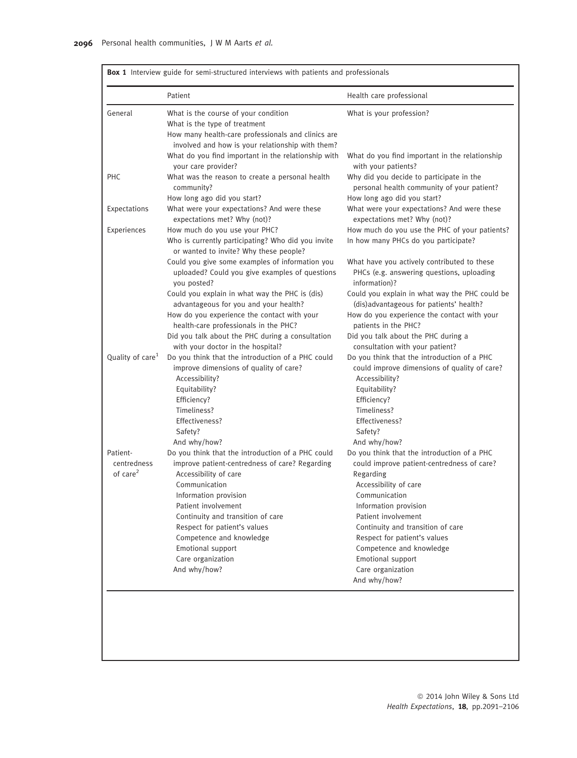|                                        | Patient                                                                                                                                                                                                   | Health care professional                                                                                                                                                                                  |
|----------------------------------------|-----------------------------------------------------------------------------------------------------------------------------------------------------------------------------------------------------------|-----------------------------------------------------------------------------------------------------------------------------------------------------------------------------------------------------------|
| General                                | What is the course of your condition<br>What is the type of treatment<br>How many health-care professionals and clinics are                                                                               | What is your profession?                                                                                                                                                                                  |
|                                        | involved and how is your relationship with them?<br>What do you find important in the relationship with<br>your care provider?                                                                            | What do you find important in the relationship<br>with your patients?                                                                                                                                     |
| PHC                                    | What was the reason to create a personal health<br>community?                                                                                                                                             | Why did you decide to participate in the<br>personal health community of your patient?                                                                                                                    |
| Expectations                           | How long ago did you start?<br>What were your expectations? And were these<br>expectations met? Why (not)?                                                                                                | How long ago did you start?<br>What were your expectations? And were these<br>expectations met? Why (not)?                                                                                                |
| Experiences                            | How much do you use your PHC?<br>Who is currently participating? Who did you invite<br>or wanted to invite? Why these people?                                                                             | How much do you use the PHC of your patients?<br>In how many PHCs do you participate?                                                                                                                     |
|                                        | Could you give some examples of information you<br>uploaded? Could you give examples of questions<br>you posted?                                                                                          | What have you actively contributed to these<br>PHCs (e.g. answering questions, uploading<br>information)?                                                                                                 |
|                                        | Could you explain in what way the PHC is (dis)<br>advantageous for you and your health?                                                                                                                   | Could you explain in what way the PHC could be<br>(dis)advantageous for patients' health?                                                                                                                 |
|                                        | How do you experience the contact with your<br>health-care professionals in the PHC?                                                                                                                      | How do you experience the contact with your<br>patients in the PHC?                                                                                                                                       |
|                                        | Did you talk about the PHC during a consultation<br>with your doctor in the hospital?                                                                                                                     | Did you talk about the PHC during a<br>consultation with your patient?                                                                                                                                    |
| Quality of care <sup>1</sup>           | Do you think that the introduction of a PHC could<br>improve dimensions of quality of care?<br>Accessibility?<br>Equitability?<br>Efficiency?<br>Timeliness?<br>Effectiveness?<br>Safety?<br>And why/how? | Do you think that the introduction of a PHC<br>could improve dimensions of quality of care?<br>Accessibility?<br>Equitability?<br>Efficiency?<br>Timeliness?<br>Effectiveness?<br>Safety?<br>And why/how? |
| Patient-<br>centredness<br>of care $2$ | Do you think that the introduction of a PHC could<br>improve patient-centredness of care? Regarding<br>Accessibility of care<br>Communication                                                             | Do you think that the introduction of a PHC<br>could improve patient-centredness of care?<br>Regarding<br>Accessibility of care                                                                           |
|                                        | Information provision<br>Patient involvement<br>Continuity and transition of care                                                                                                                         | Communication<br>Information provision<br>Patient involvement                                                                                                                                             |
|                                        | Respect for patient's values<br>Competence and knowledge<br>Emotional support<br>Care organization<br>And why/how?                                                                                        | Continuity and transition of care<br>Respect for patient's values<br>Competence and knowledge<br>Emotional support<br>Care organization<br>And why/how?                                                   |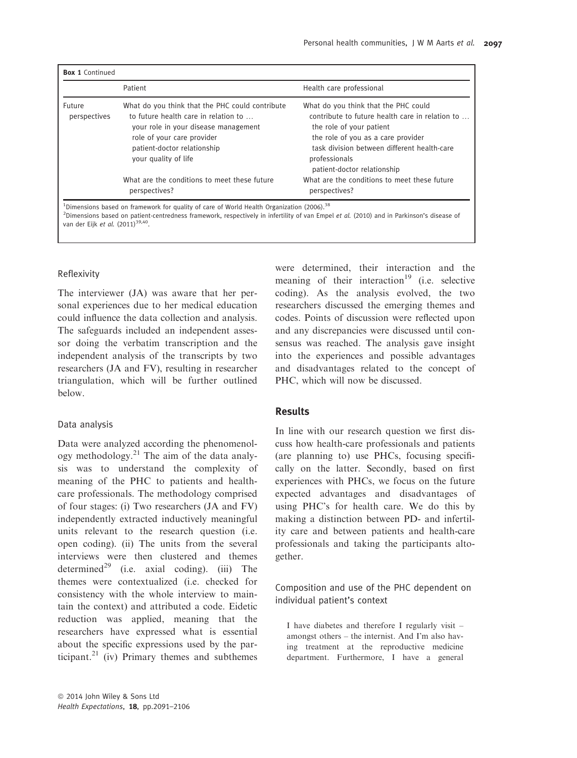|                        | Patient                                                                                                                                                                                                              | Health care professional                                                                                                                                                                                                                                 |  |
|------------------------|----------------------------------------------------------------------------------------------------------------------------------------------------------------------------------------------------------------------|----------------------------------------------------------------------------------------------------------------------------------------------------------------------------------------------------------------------------------------------------------|--|
| Future<br>perspectives | What do you think that the PHC could contribute<br>to future health care in relation to<br>your role in your disease management<br>role of your care provider<br>patient-doctor relationship<br>your quality of life | What do you think that the PHC could<br>contribute to future health care in relation to<br>the role of your patient<br>the role of you as a care provider<br>task division between different health-care<br>professionals<br>patient-doctor relationship |  |
|                        | What are the conditions to meet these future<br>perspectives?                                                                                                                                                        | What are the conditions to meet these future<br>perspectives?                                                                                                                                                                                            |  |

Dimensions based on patient-centredness framework, respectively in infertility of van Empel *et al*. (2010) and in Parkinson's disease of van der Eijk *et al*. (2011)<sup>39,40</sup>.

#### Reflexivity

The interviewer (JA) was aware that her personal experiences due to her medical education could influence the data collection and analysis. The safeguards included an independent assessor doing the verbatim transcription and the independent analysis of the transcripts by two researchers (JA and FV), resulting in researcher triangulation, which will be further outlined below.

## Data analysis

Data were analyzed according the phenomenology methodology. $2<sup>1</sup>$  The aim of the data analysis was to understand the complexity of meaning of the PHC to patients and healthcare professionals. The methodology comprised of four stages: (i) Two researchers (JA and FV) independently extracted inductively meaningful units relevant to the research question (i.e. open coding). (ii) The units from the several interviews were then clustered and themes determined<sup>29</sup> (i.e. axial coding). (iii) The themes were contextualized (i.e. checked for consistency with the whole interview to maintain the context) and attributed a code. Eidetic reduction was applied, meaning that the researchers have expressed what is essential about the specific expressions used by the participant. $21$  (iv) Primary themes and subthemes were determined, their interaction and the meaning of their interaction<sup>19</sup> (i.e. selective coding). As the analysis evolved, the two researchers discussed the emerging themes and codes. Points of discussion were reflected upon and any discrepancies were discussed until consensus was reached. The analysis gave insight into the experiences and possible advantages and disadvantages related to the concept of PHC, which will now be discussed.

## Results

In line with our research question we first discuss how health-care professionals and patients (are planning to) use PHCs, focusing specifically on the latter. Secondly, based on first experiences with PHCs, we focus on the future expected advantages and disadvantages of using PHC's for health care. We do this by making a distinction between PD- and infertility care and between patients and health-care professionals and taking the participants altogether.

Composition and use of the PHC dependent on individual patient's context

I have diabetes and therefore I regularly visit – amongst others – the internist. And I'm also having treatment at the reproductive medicine department. Furthermore, I have a general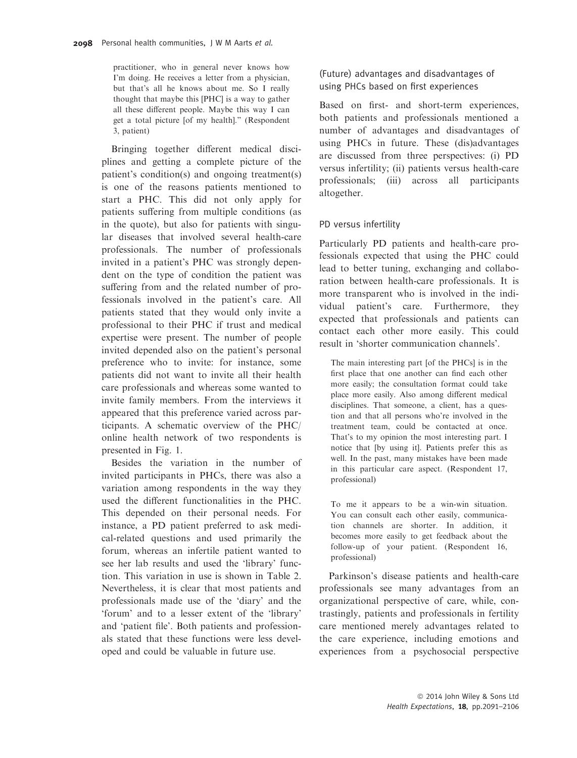practitioner, who in general never knows how I'm doing. He receives a letter from a physician, but that's all he knows about me. So I really thought that maybe this [PHC] is a way to gather all these different people. Maybe this way I can get a total picture [of my health]." (Respondent 3, patient)

Bringing together different medical disciplines and getting a complete picture of the patient's condition(s) and ongoing treatment(s) is one of the reasons patients mentioned to start a PHC. This did not only apply for patients suffering from multiple conditions (as in the quote), but also for patients with singular diseases that involved several health-care professionals. The number of professionals invited in a patient's PHC was strongly dependent on the type of condition the patient was suffering from and the related number of professionals involved in the patient's care. All patients stated that they would only invite a professional to their PHC if trust and medical expertise were present. The number of people invited depended also on the patient's personal preference who to invite: for instance, some patients did not want to invite all their health care professionals and whereas some wanted to invite family members. From the interviews it appeared that this preference varied across participants. A schematic overview of the PHC/ online health network of two respondents is presented in Fig. 1.

Besides the variation in the number of invited participants in PHCs, there was also a variation among respondents in the way they used the different functionalities in the PHC. This depended on their personal needs. For instance, a PD patient preferred to ask medical-related questions and used primarily the forum, whereas an infertile patient wanted to see her lab results and used the 'library' function. This variation in use is shown in Table 2. Nevertheless, it is clear that most patients and professionals made use of the 'diary' and the 'forum' and to a lesser extent of the 'library' and 'patient file'. Both patients and professionals stated that these functions were less developed and could be valuable in future use.

# (Future) advantages and disadvantages of using PHCs based on first experiences

Based on first- and short-term experiences, both patients and professionals mentioned a number of advantages and disadvantages of using PHCs in future. These (dis)advantages are discussed from three perspectives: (i) PD versus infertility; (ii) patients versus health-care professionals; (iii) across all participants altogether.

## PD versus infertility

Particularly PD patients and health-care professionals expected that using the PHC could lead to better tuning, exchanging and collaboration between health-care professionals. It is more transparent who is involved in the individual patient's care. Furthermore, they expected that professionals and patients can contact each other more easily. This could result in 'shorter communication channels'.

The main interesting part [of the PHCs] is in the first place that one another can find each other more easily; the consultation format could take place more easily. Also among different medical disciplines. That someone, a client, has a question and that all persons who're involved in the treatment team, could be contacted at once. That's to my opinion the most interesting part. I notice that [by using it]. Patients prefer this as well. In the past, many mistakes have been made in this particular care aspect. (Respondent 17, professional)

To me it appears to be a win-win situation. You can consult each other easily, communication channels are shorter. In addition, it becomes more easily to get feedback about the follow-up of your patient. (Respondent 16, professional)

Parkinson's disease patients and health-care professionals see many advantages from an organizational perspective of care, while, contrastingly, patients and professionals in fertility care mentioned merely advantages related to the care experience, including emotions and experiences from a psychosocial perspective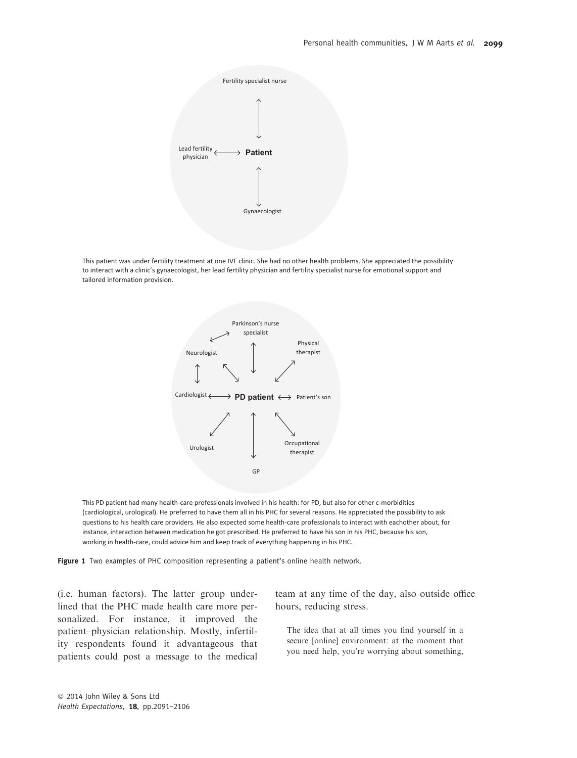

This patient was under fertility treatment at one IVF clinic. She had no other health problems. She appreciated the possibility to interact with a clinic's gynaecologist, her lead fertility physician and fertility specialist nurse for emotional support and tailored information provision.



This PD patient had many health-care professionals involved in his health: for PD, but also for other c-morbidities (cardiological, urological). He preferred to have them all in his PHC for several reasons. He appreciated the possibility to ask questions to his health care providers. He also expected some health-care professionals to interact with eachother about, for instance, interaction between medication he got prescribed. He preferred to have his son in his PHC, because his son, working in health-care, could advice him and keep track of everything happening in his PHC.

Figure 1 Two examples of PHC composition representing a patient's online health network.

(i.e. human factors). The latter group underlined that the PHC made health care more personalized. For instance, it improved the patient–physician relationship. Mostly, infertility respondents found it advantageous that patients could post a message to the medical team at any time of the day, also outside office hours, reducing stress.

The idea that at all times you find yourself in a secure [online] environment: at the moment that you need help, you're worrying about something,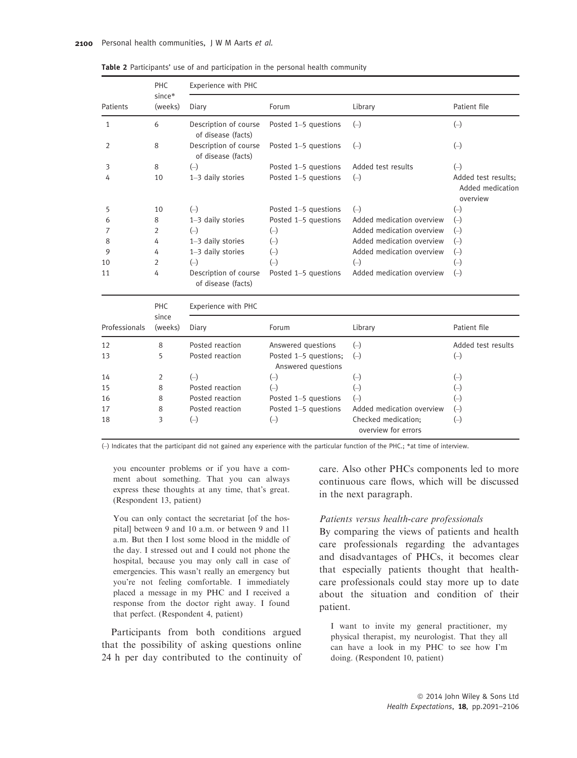|               | <b>PHC</b>        | Experience with PHC                         |                                             |                                            |                                                     |  |  |
|---------------|-------------------|---------------------------------------------|---------------------------------------------|--------------------------------------------|-----------------------------------------------------|--|--|
| Patients      | since*<br>(weeks) | Diary                                       | Forum                                       | Library                                    | Patient file                                        |  |  |
| 1             | 6                 | Description of course<br>of disease (facts) | Posted 1-5 questions                        | $(-)$                                      | $(-)$                                               |  |  |
| 2             | 8                 | Description of course<br>of disease (facts) | Posted 1-5 questions                        | $(-)$                                      | $(-)$                                               |  |  |
| 3             | 8                 | $\left( -\right)$                           | Posted 1-5 questions                        | Added test results                         | $(-)$                                               |  |  |
| 4             | 10                | 1-3 daily stories                           | Posted 1-5 questions                        | $\left( -\right)$                          | Added test results;<br>Added medication<br>overview |  |  |
| 5             | 10                | $(-)$                                       | Posted 1-5 questions                        | $(-)$                                      | $(-)$                                               |  |  |
| 6             | 8                 | 1-3 daily stories                           | Posted 1-5 questions                        | Added medication overview                  | $(-)$                                               |  |  |
| 7             | 2                 | $(-)$                                       | $\left( -\right)$                           | Added medication overview                  | $(-)$                                               |  |  |
| 8             | 4                 | 1-3 daily stories                           | $(-)$                                       | Added medication overview                  | $(\text{-})$                                        |  |  |
| 9             | 4                 | 1-3 daily stories                           | $(-)$                                       | Added medication overview                  | $(-)$                                               |  |  |
| 10            | $\overline{2}$    | $\left( -\right)$                           | $(-)$                                       | $(-)$                                      | $(-)$                                               |  |  |
| 11            | 4                 | Description of course<br>of disease (facts) | Posted 1-5 questions                        | Added medication overview                  | $(-)$                                               |  |  |
|               | PHC               | Experience with PHC                         |                                             |                                            |                                                     |  |  |
|               | since             |                                             |                                             |                                            |                                                     |  |  |
| Professionals | (weeks)           | Diary                                       | Forum                                       | Library                                    | Patient file                                        |  |  |
| 12            | 8                 | Posted reaction                             | Answered questions                          | $(-)$                                      | Added test results                                  |  |  |
| 13            | 5                 | Posted reaction                             | Posted 1-5 questions;<br>Answered questions | $(-)$                                      | $\left( -\right)$                                   |  |  |
| 14            | 2                 | $\left( -\right)$                           | $\left( -\right)$                           | $\left(\frac{1}{2}\right)$                 | $(-)$                                               |  |  |
| 15            | 8                 | Posted reaction                             | $(-)$                                       | $\left(\frac{1}{2}\right)$                 | $(-)$                                               |  |  |
| 16            | 8                 | Posted reaction                             | Posted 1-5 questions                        | $(-)$                                      | $\left( -\right)$                                   |  |  |
| 17            | 8                 | Posted reaction                             | Posted 1-5 questions                        | Added medication overview                  | $(-)$                                               |  |  |
| 18            | 3                 | $\left( -\right)$                           | $\left( -\right)$                           | Checked medication;<br>overview for errors | $\left( -\right)$                                   |  |  |

Table 2 Participants' use of and participation in the personal health community

(–) Indicates that the participant did not gained any experience with the particular function of the PHC.; \*at time of interview.

you encounter problems or if you have a comment about something. That you can always express these thoughts at any time, that's great. (Respondent 13, patient)

You can only contact the secretariat [of the hospital] between 9 and 10 a.m. or between 9 and 11 a.m. But then I lost some blood in the middle of the day. I stressed out and I could not phone the hospital, because you may only call in case of emergencies. This wasn't really an emergency but you're not feeling comfortable. I immediately placed a message in my PHC and I received a response from the doctor right away. I found that perfect. (Respondent 4, patient)

Participants from both conditions argued that the possibility of asking questions online 24 h per day contributed to the continuity of care. Also other PHCs components led to more continuous care flows, which will be discussed in the next paragraph.

#### Patients versus health-care professionals

By comparing the views of patients and health care professionals regarding the advantages and disadvantages of PHCs, it becomes clear that especially patients thought that healthcare professionals could stay more up to date about the situation and condition of their patient.

I want to invite my general practitioner, my physical therapist, my neurologist. That they all can have a look in my PHC to see how I'm doing. (Respondent 10, patient)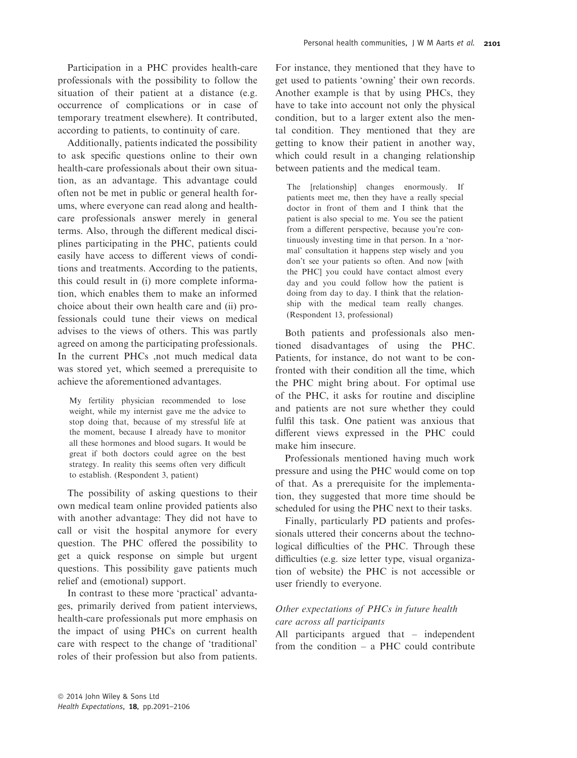Participation in a PHC provides health-care professionals with the possibility to follow the situation of their patient at a distance (e.g. occurrence of complications or in case of temporary treatment elsewhere). It contributed, according to patients, to continuity of care.

Additionally, patients indicated the possibility to ask specific questions online to their own health-care professionals about their own situation, as an advantage. This advantage could often not be met in public or general health forums, where everyone can read along and healthcare professionals answer merely in general terms. Also, through the different medical disciplines participating in the PHC, patients could easily have access to different views of conditions and treatments. According to the patients, this could result in (i) more complete information, which enables them to make an informed choice about their own health care and (ii) professionals could tune their views on medical advises to the views of others. This was partly agreed on among the participating professionals. In the current PHCs ,not much medical data was stored yet, which seemed a prerequisite to achieve the aforementioned advantages.

My fertility physician recommended to lose weight, while my internist gave me the advice to stop doing that, because of my stressful life at the moment, because I already have to monitor all these hormones and blood sugars. It would be great if both doctors could agree on the best strategy. In reality this seems often very difficult to establish. (Respondent 3, patient)

The possibility of asking questions to their own medical team online provided patients also with another advantage: They did not have to call or visit the hospital anymore for every question. The PHC offered the possibility to get a quick response on simple but urgent questions. This possibility gave patients much relief and (emotional) support.

In contrast to these more 'practical' advantages, primarily derived from patient interviews, health-care professionals put more emphasis on the impact of using PHCs on current health care with respect to the change of 'traditional' roles of their profession but also from patients.

For instance, they mentioned that they have to get used to patients 'owning' their own records. Another example is that by using PHCs, they have to take into account not only the physical condition, but to a larger extent also the mental condition. They mentioned that they are getting to know their patient in another way, which could result in a changing relationship between patients and the medical team.

The [relationship] changes enormously. If patients meet me, then they have a really special doctor in front of them and I think that the patient is also special to me. You see the patient from a different perspective, because you're continuously investing time in that person. In a 'normal' consultation it happens step wisely and you don't see your patients so often. And now [with the PHC] you could have contact almost every day and you could follow how the patient is doing from day to day. I think that the relationship with the medical team really changes. (Respondent 13, professional)

Both patients and professionals also mentioned disadvantages of using the PHC. Patients, for instance, do not want to be confronted with their condition all the time, which the PHC might bring about. For optimal use of the PHC, it asks for routine and discipline and patients are not sure whether they could fulfil this task. One patient was anxious that different views expressed in the PHC could make him insecure.

Professionals mentioned having much work pressure and using the PHC would come on top of that. As a prerequisite for the implementation, they suggested that more time should be scheduled for using the PHC next to their tasks.

Finally, particularly PD patients and professionals uttered their concerns about the technological difficulties of the PHC. Through these difficulties (e.g. size letter type, visual organization of website) the PHC is not accessible or user friendly to everyone.

## Other expectations of PHCs in future health care across all participants

All participants argued that – independent from the condition – a PHC could contribute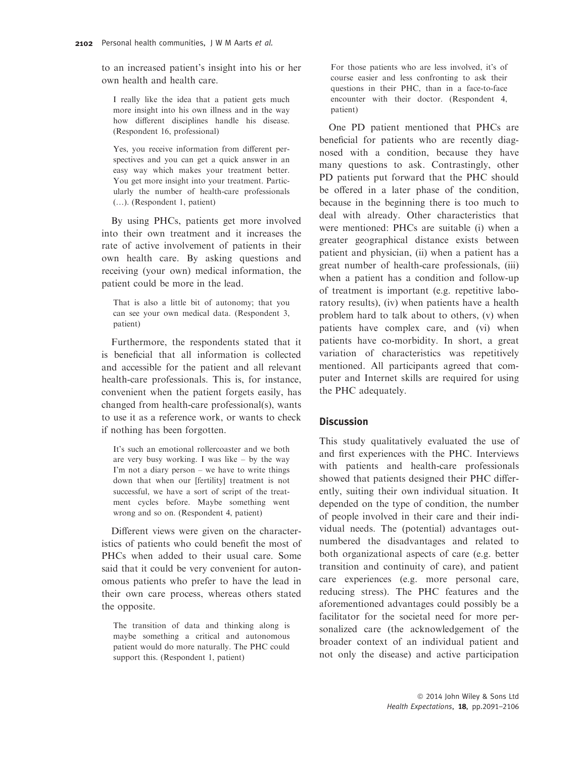to an increased patient's insight into his or her own health and health care.

I really like the idea that a patient gets much more insight into his own illness and in the way how different disciplines handle his disease. (Respondent 16, professional)

Yes, you receive information from different perspectives and you can get a quick answer in an easy way which makes your treatment better. You get more insight into your treatment. Particularly the number of health-care professionals (…). (Respondent 1, patient)

By using PHCs, patients get more involved into their own treatment and it increases the rate of active involvement of patients in their own health care. By asking questions and receiving (your own) medical information, the patient could be more in the lead.

That is also a little bit of autonomy; that you can see your own medical data. (Respondent 3, patient)

Furthermore, the respondents stated that it is beneficial that all information is collected and accessible for the patient and all relevant health-care professionals. This is, for instance, convenient when the patient forgets easily, has changed from health-care professional(s), wants to use it as a reference work, or wants to check if nothing has been forgotten.

It's such an emotional rollercoaster and we both are very busy working. I was like  $-$  by the way I'm not a diary person – we have to write things down that when our [fertility] treatment is not successful, we have a sort of script of the treatment cycles before. Maybe something went wrong and so on. (Respondent 4, patient)

Different views were given on the characteristics of patients who could benefit the most of PHCs when added to their usual care. Some said that it could be very convenient for autonomous patients who prefer to have the lead in their own care process, whereas others stated the opposite.

The transition of data and thinking along is maybe something a critical and autonomous patient would do more naturally. The PHC could support this. (Respondent 1, patient)

For those patients who are less involved, it's of course easier and less confronting to ask their questions in their PHC, than in a face-to-face encounter with their doctor. (Respondent 4, patient)

One PD patient mentioned that PHCs are beneficial for patients who are recently diagnosed with a condition, because they have many questions to ask. Contrastingly, other PD patients put forward that the PHC should be offered in a later phase of the condition, because in the beginning there is too much to deal with already. Other characteristics that were mentioned: PHCs are suitable (i) when a greater geographical distance exists between patient and physician, (ii) when a patient has a great number of health-care professionals, (iii) when a patient has a condition and follow-up of treatment is important (e.g. repetitive laboratory results), (iv) when patients have a health problem hard to talk about to others, (v) when patients have complex care, and (vi) when patients have co-morbidity. In short, a great variation of characteristics was repetitively mentioned. All participants agreed that computer and Internet skills are required for using the PHC adequately.

## **Discussion**

This study qualitatively evaluated the use of and first experiences with the PHC. Interviews with patients and health-care professionals showed that patients designed their PHC differently, suiting their own individual situation. It depended on the type of condition, the number of people involved in their care and their individual needs. The (potential) advantages outnumbered the disadvantages and related to both organizational aspects of care (e.g. better transition and continuity of care), and patient care experiences (e.g. more personal care, reducing stress). The PHC features and the aforementioned advantages could possibly be a facilitator for the societal need for more personalized care (the acknowledgement of the broader context of an individual patient and not only the disease) and active participation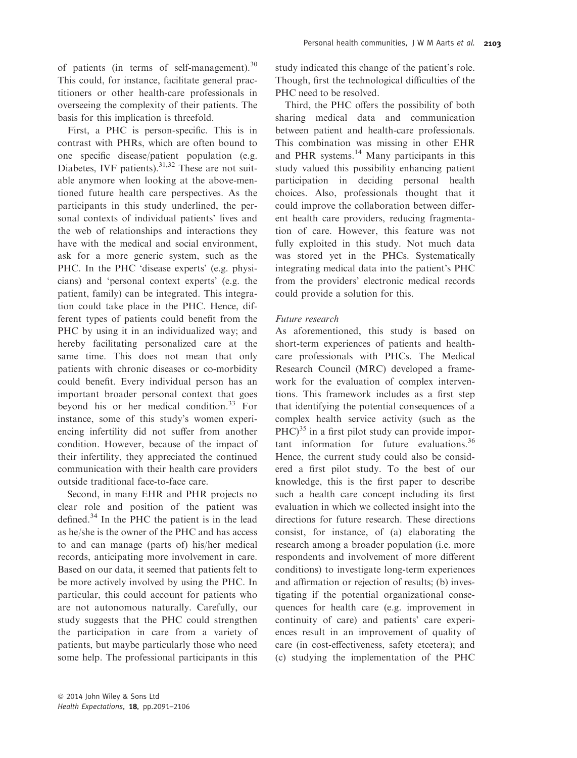of patients (in terms of self-management). $30$ This could, for instance, facilitate general practitioners or other health-care professionals in overseeing the complexity of their patients. The basis for this implication is threefold.

First, a PHC is person-specific. This is in contrast with PHRs, which are often bound to one specific disease/patient population (e.g. Diabetes, IVF patients). $31,32$  These are not suitable anymore when looking at the above-mentioned future health care perspectives. As the participants in this study underlined, the personal contexts of individual patients' lives and the web of relationships and interactions they have with the medical and social environment, ask for a more generic system, such as the PHC. In the PHC 'disease experts' (e.g. physicians) and 'personal context experts' (e.g. the patient, family) can be integrated. This integration could take place in the PHC. Hence, different types of patients could benefit from the PHC by using it in an individualized way; and hereby facilitating personalized care at the same time. This does not mean that only patients with chronic diseases or co-morbidity could benefit. Every individual person has an important broader personal context that goes beyond his or her medical condition. $33$  For instance, some of this study's women experiencing infertility did not suffer from another condition. However, because of the impact of their infertility, they appreciated the continued communication with their health care providers outside traditional face-to-face care.

Second, in many EHR and PHR projects no clear role and position of the patient was defined. $34$  In the PHC the patient is in the lead as he/she is the owner of the PHC and has access to and can manage (parts of) his/her medical records, anticipating more involvement in care. Based on our data, it seemed that patients felt to be more actively involved by using the PHC. In particular, this could account for patients who are not autonomous naturally. Carefully, our study suggests that the PHC could strengthen the participation in care from a variety of patients, but maybe particularly those who need some help. The professional participants in this

study indicated this change of the patient's role. Though, first the technological difficulties of the PHC need to be resolved.

Third, the PHC offers the possibility of both sharing medical data and communication between patient and health-care professionals. This combination was missing in other EHR and PHR systems.<sup>14</sup> Many participants in this study valued this possibility enhancing patient participation in deciding personal health choices. Also, professionals thought that it could improve the collaboration between different health care providers, reducing fragmentation of care. However, this feature was not fully exploited in this study. Not much data was stored yet in the PHCs. Systematically integrating medical data into the patient's PHC from the providers' electronic medical records could provide a solution for this.

#### Future research

As aforementioned, this study is based on short-term experiences of patients and healthcare professionals with PHCs. The Medical Research Council (MRC) developed a framework for the evaluation of complex interventions. This framework includes as a first step that identifying the potential consequences of a complex health service activity (such as the  $PHC$ <sup>35</sup> in a first pilot study can provide important information for future evaluations.  $36$ Hence, the current study could also be considered a first pilot study. To the best of our knowledge, this is the first paper to describe such a health care concept including its first evaluation in which we collected insight into the directions for future research. These directions consist, for instance, of (a) elaborating the research among a broader population (i.e. more respondents and involvement of more different conditions) to investigate long-term experiences and affirmation or rejection of results; (b) investigating if the potential organizational consequences for health care (e.g. improvement in continuity of care) and patients' care experiences result in an improvement of quality of care (in cost-effectiveness, safety etcetera); and (c) studying the implementation of the PHC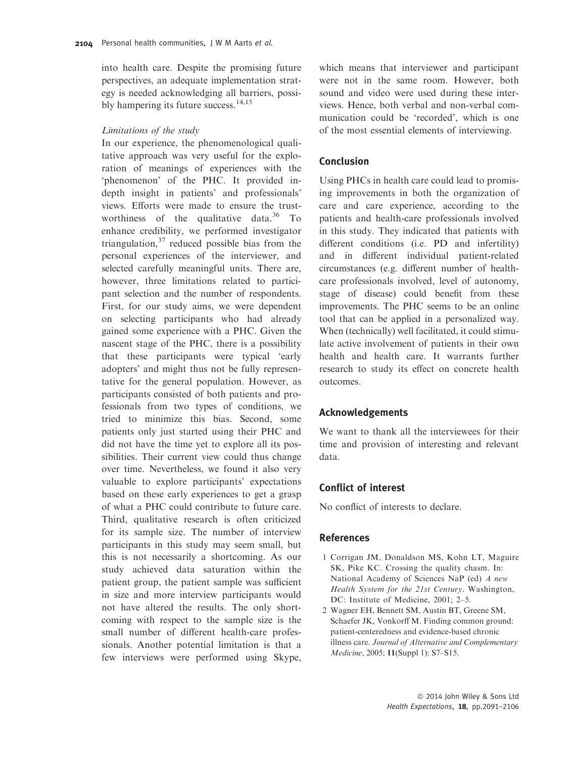into health care. Despite the promising future perspectives, an adequate implementation strategy is needed acknowledging all barriers, possibly hampering its future success. $14,15$ 

#### Limitations of the study

In our experience, the phenomenological qualitative approach was very useful for the exploration of meanings of experiences with the 'phenomenon' of the PHC. It provided indepth insight in patients' and professionals' views. Efforts were made to ensure the trustworthiness of the qualitative data. $36$  To enhance credibility, we performed investigator triangulation, $37$  reduced possible bias from the personal experiences of the interviewer, and selected carefully meaningful units. There are, however, three limitations related to participant selection and the number of respondents. First, for our study aims, we were dependent on selecting participants who had already gained some experience with a PHC. Given the nascent stage of the PHC, there is a possibility that these participants were typical 'early adopters' and might thus not be fully representative for the general population. However, as participants consisted of both patients and professionals from two types of conditions, we tried to minimize this bias. Second, some patients only just started using their PHC and did not have the time yet to explore all its possibilities. Their current view could thus change over time. Nevertheless, we found it also very valuable to explore participants' expectations based on these early experiences to get a grasp of what a PHC could contribute to future care. Third, qualitative research is often criticized for its sample size. The number of interview participants in this study may seem small, but this is not necessarily a shortcoming. As our study achieved data saturation within the patient group, the patient sample was sufficient in size and more interview participants would not have altered the results. The only shortcoming with respect to the sample size is the small number of different health-care professionals. Another potential limitation is that a few interviews were performed using Skype, which means that interviewer and participant were not in the same room. However, both sound and video were used during these interviews. Hence, both verbal and non-verbal communication could be 'recorded', which is one of the most essential elements of interviewing.

## Conclusion

Using PHCs in health care could lead to promising improvements in both the organization of care and care experience, according to the patients and health-care professionals involved in this study. They indicated that patients with different conditions (i.e. PD and infertility) and in different individual patient-related circumstances (e.g. different number of healthcare professionals involved, level of autonomy, stage of disease) could benefit from these improvements. The PHC seems to be an online tool that can be applied in a personalized way. When (technically) well facilitated, it could stimulate active involvement of patients in their own health and health care. It warrants further research to study its effect on concrete health outcomes.

## Acknowledgements

We want to thank all the interviewees for their time and provision of interesting and relevant data.

## Conflict of interest

No conflict of interests to declare.

## References

- 1 Corrigan JM, Donaldson MS, Kohn LT, Maguire SK, Pike KC. Crossing the quality chasm. In: National Academy of Sciences NaP (ed) A new Health System for the 21st Century. Washington, DC: Institute of Medicine, 2001; 2–5.
- 2 Wagner EH, Bennett SM, Austin BT, Greene SM, Schaefer JK, Vonkorff M. Finding common ground: patient-centeredness and evidence-based chronic illness care. Journal of Alternative and Complementary Medicine, 2005; 11(Suppl 1): S7–S15.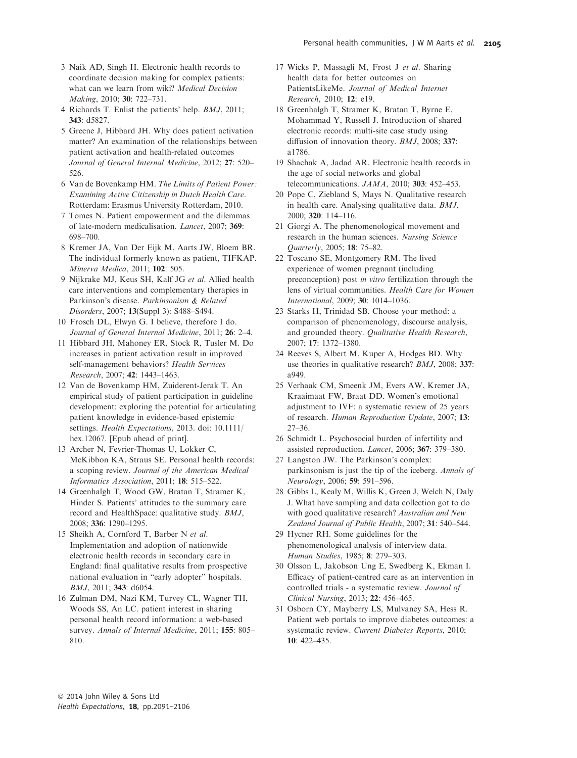- 3 Naik AD, Singh H. Electronic health records to coordinate decision making for complex patients: what can we learn from wiki? Medical Decision Making, 2010; 30: 722–731.
- 4 Richards T. Enlist the patients' help. BMJ, 2011; 343: d5827.
- 5 Greene J, Hibbard JH. Why does patient activation matter? An examination of the relationships between patient activation and health-related outcomes Journal of General Internal Medicine, 2012; 27: 520– 526.
- 6 Van de Bovenkamp HM. The Limits of Patient Power: Examining Active Citizenship in Dutch Health Care. Rotterdam: Erasmus University Rotterdam, 2010.
- 7 Tomes N. Patient empowerment and the dilemmas of late-modern medicalisation. Lancet, 2007; 369: 698–700.
- 8 Kremer JA, Van Der Eijk M, Aarts JW, Bloem BR. The individual formerly known as patient, TIFKAP. Minerva Medica, 2011; 102: 505.
- 9 Nijkrake MJ, Keus SH, Kalf JG et al. Allied health care interventions and complementary therapies in Parkinson's disease. Parkinsonism & Related Disorders, 2007; 13(Suppl 3): S488–S494.
- 10 Frosch DL, Elwyn G. I believe, therefore I do. Journal of General Internal Medicine, 2011; 26: 2–4.
- 11 Hibbard JH, Mahoney ER, Stock R, Tusler M. Do increases in patient activation result in improved self-management behaviors? Health Services Research, 2007; 42: 1443–1463.
- 12 Van de Bovenkamp HM, Zuiderent-Jerak T. An empirical study of patient participation in guideline development: exploring the potential for articulating patient knowledge in evidence-based epistemic settings. Health Expectations, 2013. doi: 10.1111/ hex.12067. [Epub ahead of print].
- 13 Archer N, Fevrier-Thomas U, Lokker C, McKibbon KA, Straus SE. Personal health records: a scoping review. Journal of the American Medical Informatics Association, 2011; 18: 515–522.
- 14 Greenhalgh T, Wood GW, Bratan T, Stramer K, Hinder S. Patients' attitudes to the summary care record and HealthSpace: qualitative study. BMJ, 2008; 336: 1290–1295.
- 15 Sheikh A, Cornford T, Barber N et al. Implementation and adoption of nationwide electronic health records in secondary care in England: final qualitative results from prospective national evaluation in "early adopter" hospitals. BMJ, 2011; 343: d6054.
- 16 Zulman DM, Nazi KM, Turvey CL, Wagner TH, Woods SS, An LC. patient interest in sharing personal health record information: a web-based survey. Annals of Internal Medicine, 2011; 155: 805-810.
- 17 Wicks P, Massagli M, Frost J et al. Sharing health data for better outcomes on PatientsLikeMe. Journal of Medical Internet Research, 2010; 12: e19.
- 18 Greenhalgh T, Stramer K, Bratan T, Byrne E, Mohammad Y, Russell J. Introduction of shared electronic records: multi-site case study using diffusion of innovation theory. BMJ, 2008; 337: a1786.
- 19 Shachak A, Jadad AR. Electronic health records in the age of social networks and global telecommunications. JAMA, 2010; 303: 452–453.
- 20 Pope C, Ziebland S, Mays N. Qualitative research in health care. Analysing qualitative data. BMJ, 2000; 320: 114–116.
- 21 Giorgi A. The phenomenological movement and research in the human sciences. Nursing Science Quarterly, 2005; 18: 75–82.
- 22 Toscano SE, Montgomery RM. The lived experience of women pregnant (including preconception) post in vitro fertilization through the lens of virtual communities. Health Care for Women International, 2009; 30: 1014–1036.
- 23 Starks H, Trinidad SB. Choose your method: a comparison of phenomenology, discourse analysis, and grounded theory. Qualitative Health Research, 2007; 17: 1372–1380.
- 24 Reeves S, Albert M, Kuper A, Hodges BD. Why use theories in qualitative research? BMJ, 2008; 337: a949.
- 25 Verhaak CM, Smeenk JM, Evers AW, Kremer JA, Kraaimaat FW, Braat DD. Women's emotional adjustment to IVF: a systematic review of 25 years of research. Human Reproduction Update, 2007; 13: 27–36.
- 26 Schmidt L. Psychosocial burden of infertility and assisted reproduction. Lancet, 2006; 367: 379–380.
- 27 Langston JW. The Parkinson's complex: parkinsonism is just the tip of the iceberg. Annals of Neurology, 2006; 59: 591–596.
- 28 Gibbs L, Kealy M, Willis K, Green J, Welch N, Daly J. What have sampling and data collection got to do with good qualitative research? Australian and New Zealand Journal of Public Health, 2007; 31: 540–544.
- 29 Hycner RH. Some guidelines for the phenomenological analysis of interview data. Human Studies, 1985; 8: 279–303.
- 30 Olsson L, Jakobson Ung E, Swedberg K, Ekman I. Efficacy of patient-centred care as an intervention in controlled trials - a systematic review. Journal of Clinical Nursing, 2013; 22: 456–465.
- 31 Osborn CY, Mayberry LS, Mulvaney SA, Hess R. Patient web portals to improve diabetes outcomes: a systematic review. Current Diabetes Reports, 2010; 10: 422–435.